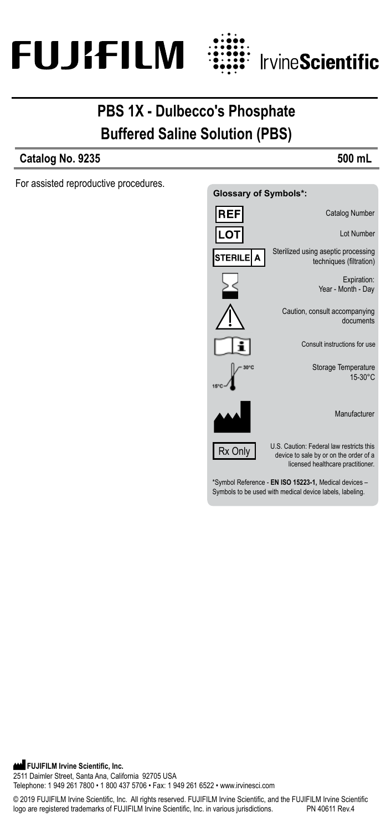



# **PBS 1X - Dulbecco's Phosphate Buffered Saline Solution (PBS)**

## **Catalog No. 9235 500 mL**

For assisted reproductive procedures.



**FUJIFILM Irvine Scientific, Inc.** 2511 Daimler Street, Santa Ana, California 92705 USA Telephone: 1 949 261 7800 • 1 800 437 5706 • Fax: 1 949 261 6522 • www.irvinesci.com